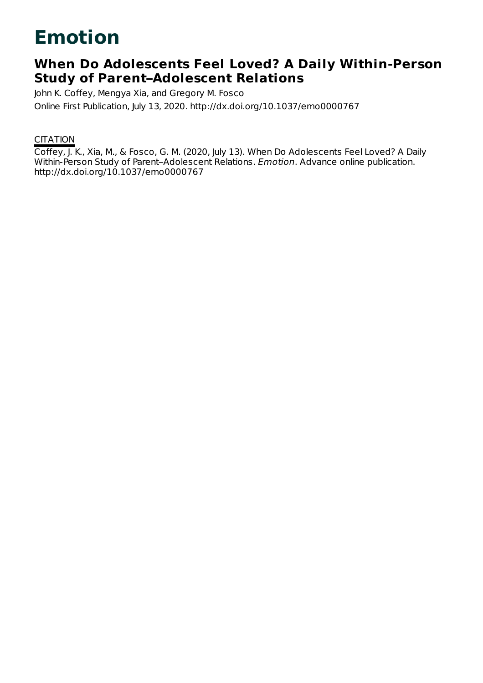# **Emotion**

## **When Do Adolescents Feel Loved? A Daily Within-Person Study of Parent–Adolescent Relations**

John K. Coffey, Mengya Xia, and Gregory M. Fosco Online First Publication, July 13, 2020. http://dx.doi.org/10.1037/emo0000767

### **CITATION**

Coffey, J. K., Xia, M., & Fosco, G. M. (2020, July 13). When Do Adolescents Feel Loved? A Daily Within-Person Study of Parent–Adolescent Relations. Emotion. Advance online publication. http://dx.doi.org/10.1037/emo0000767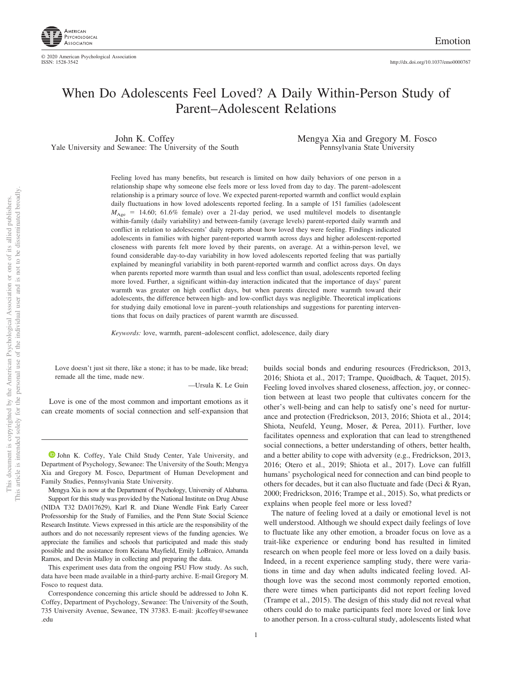

### When Do Adolescents Feel Loved? A Daily Within-Person Study of Parent–Adolescent Relations

John K. Coffey Yale University and Sewanee: The University of the South Mengya Xia and Gregory M. Fosco Pennsylvania State University

Feeling loved has many benefits, but research is limited on how daily behaviors of one person in a relationship shape why someone else feels more or less loved from day to day. The parent–adolescent relationship is a primary source of love. We expected parent-reported warmth and conflict would explain daily fluctuations in how loved adolescents reported feeling. In a sample of 151 families (adolescent  $M_{\text{Age}}$  = 14.60; 61.6% female) over a 21-day period, we used multilevel models to disentangle within-family (daily variability) and between-family (average levels) parent-reported daily warmth and conflict in relation to adolescents' daily reports about how loved they were feeling. Findings indicated adolescents in families with higher parent-reported warmth across days and higher adolescent-reported closeness with parents felt more loved by their parents, on average. At a within-person level, we found considerable day-to-day variability in how loved adolescents reported feeling that was partially explained by meaningful variability in both parent-reported warmth and conflict across days. On days when parents reported more warmth than usual and less conflict than usual, adolescents reported feeling more loved. Further, a significant within-day interaction indicated that the importance of days' parent warmth was greater on high conflict days, but when parents directed more warmth toward their adolescents, the difference between high- and low-conflict days was negligible. Theoretical implications for studying daily emotional love in parent–youth relationships and suggestions for parenting interventions that focus on daily practices of parent warmth are discussed.

*Keywords:* love, warmth, parent–adolescent conflict, adolescence, daily diary

Love doesn't just sit there, like a stone; it has to be made, like bread; remade all the time, made new.

—Ursula K. Le Guin

Love is one of the most common and important emotions as it can create moments of social connection and self-expansion that

<sup>D</sup> [John K. Coffey,](https://orcid.org/0000-0003-0088-382X) Yale Child Study Center, Yale University, and Department of Psychology, Sewanee: The University of the South; Mengya Xia and Gregory M. Fosco, Department of Human Development and Family Studies, Pennsylvania State University.

Mengya Xia is now at the Department of Psychology, University of Alabama. Support for this study was provided by the National Institute on Drug Abuse (NIDA T32 DA017629), Karl R. and Diane Wendle Fink Early Career Professorship for the Study of Families, and the Penn State Social Science Research Institute. Views expressed in this article are the responsibility of the authors and do not necessarily represent views of the funding agencies. We appreciate the families and schools that participated and made this study possible and the assistance from Keiana Mayfield, Emily LoBraico, Amanda Ramos, and Devin Malloy in collecting and preparing the data.

This experiment uses data from the ongoing PSU Flow study. As such, data have been made available in a third-party archive. E-mail Gregory M. Fosco to request data.

Correspondence concerning this article should be addressed to John K. Coffey, Department of Psychology, Sewanee: The University of the South, 735 University Avenue, Sewanee, TN 37383. E-mail: [jkcoffey@sewanee](mailto:jkcoffey@sewanee.edu) [.edu](mailto:jkcoffey@sewanee.edu)

builds social bonds and enduring resources (Fredrickson, 2013, 2016; Shiota et al., 2017; Trampe, Quoidbach, & Taquet, 2015). Feeling loved involves shared closeness, affection, joy, or connection between at least two people that cultivates concern for the other's well-being and can help to satisfy one's need for nurturance and protection (Fredrickson, 2013, 2016; Shiota et al., 2014; Shiota, Neufeld, Yeung, Moser, & Perea, 2011). Further, love facilitates openness and exploration that can lead to strengthened social connections, a better understanding of others, better health, and a better ability to cope with adversity (e.g., Fredrickson, 2013, 2016; Otero et al., 2019; Shiota et al., 2017). Love can fulfill humans' psychological need for connection and can bind people to others for decades, but it can also fluctuate and fade (Deci & Ryan, 2000; Fredrickson, 2016; Trampe et al., 2015). So, what predicts or explains when people feel more or less loved?

The nature of feeling loved at a daily or emotional level is not well understood. Although we should expect daily feelings of love to fluctuate like any other emotion, a broader focus on love as a trait-like experience or enduring bond has resulted in limited research on when people feel more or less loved on a daily basis. Indeed, in a recent experience sampling study, there were variations in time and day when adults indicated feeling loved. Although love was the second most commonly reported emotion, there were times when participants did not report feeling loved (Trampe et al., 2015). The design of this study did not reveal what others could do to make participants feel more loved or link love to another person. In a cross-cultural study, adolescents listed what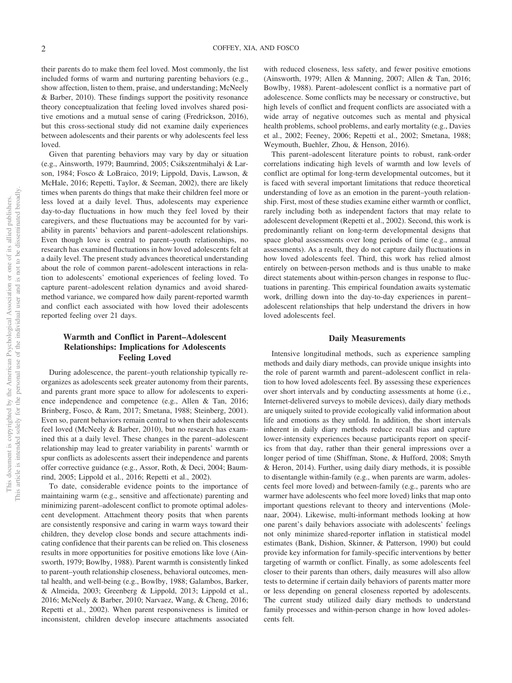their parents do to make them feel loved. Most commonly, the list included forms of warm and nurturing parenting behaviors (e.g., show affection, listen to them, praise, and understanding; McNeely & Barber, 2010). These findings support the positivity resonance theory conceptualization that feeling loved involves shared positive emotions and a mutual sense of caring (Fredrickson, 2016), but this cross-sectional study did not examine daily experiences between adolescents and their parents or why adolescents feel less loved.

Given that parenting behaviors may vary by day or situation (e.g., Ainsworth, 1979; Baumrind, 2005; Csikszentmihalyi & Larson, 1984; Fosco & LoBraico, 2019; Lippold, Davis, Lawson, & McHale, 2016; Repetti, Taylor, & Seeman, 2002), there are likely times when parents do things that make their children feel more or less loved at a daily level. Thus, adolescents may experience day-to-day fluctuations in how much they feel loved by their caregivers, and these fluctuations may be accounted for by variability in parents' behaviors and parent–adolescent relationships. Even though love is central to parent–youth relationships, no research has examined fluctuations in how loved adolescents felt at a daily level. The present study advances theoretical understanding about the role of common parent–adolescent interactions in relation to adolescents' emotional experiences of feeling loved. To capture parent–adolescent relation dynamics and avoid sharedmethod variance, we compared how daily parent-reported warmth and conflict each associated with how loved their adolescents reported feeling over 21 days.

#### **Warmth and Conflict in Parent–Adolescent Relationships: Implications for Adolescents Feeling Loved**

During adolescence, the parent–youth relationship typically reorganizes as adolescents seek greater autonomy from their parents, and parents grant more space to allow for adolescents to experience independence and competence (e.g., Allen & Tan, 2016; Brinberg, Fosco, & Ram, 2017; Smetana, 1988; Steinberg, 2001). Even so, parent behaviors remain central to when their adolescents feel loved (McNeely & Barber, 2010), but no research has examined this at a daily level. These changes in the parent–adolescent relationship may lead to greater variability in parents' warmth or spur conflicts as adolescents assert their independence and parents offer corrective guidance (e.g., Assor, Roth, & Deci, 2004; Baumrind, 2005; Lippold et al., 2016; Repetti et al., 2002).

To date, considerable evidence points to the importance of maintaining warm (e.g., sensitive and affectionate) parenting and minimizing parent–adolescent conflict to promote optimal adolescent development. Attachment theory posits that when parents are consistently responsive and caring in warm ways toward their children, they develop close bonds and secure attachments indicating confidence that their parents can be relied on. This closeness results in more opportunities for positive emotions like love (Ainsworth, 1979; Bowlby, 1988). Parent warmth is consistently linked to parent–youth relationship closeness, behavioral outcomes, mental health, and well-being (e.g., Bowlby, 1988; Galambos, Barker, & Almeida, 2003; Greenberg & Lippold, 2013; Lippold et al., 2016; McNeely & Barber, 2010; Narvaez, Wang, & Cheng, 2016; Repetti et al., 2002). When parent responsiveness is limited or inconsistent, children develop insecure attachments associated

with reduced closeness, less safety, and fewer positive emotions (Ainsworth, 1979; Allen & Manning, 2007; Allen & Tan, 2016; Bowlby, 1988). Parent–adolescent conflict is a normative part of adolescence. Some conflicts may be necessary or constructive, but high levels of conflict and frequent conflicts are associated with a wide array of negative outcomes such as mental and physical health problems, school problems, and early mortality (e.g., Davies et al., 2002; Feeney, 2006; Repetti et al., 2002; Smetana, 1988; Weymouth, Buehler, Zhou, & Henson, 2016).

This parent–adolescent literature points to robust, rank-order correlations indicating high levels of warmth and low levels of conflict are optimal for long-term developmental outcomes, but it is faced with several important limitations that reduce theoretical understanding of love as an emotion in the parent–youth relationship. First, most of these studies examine either warmth or conflict, rarely including both as independent factors that may relate to adolescent development (Repetti et al., 2002). Second, this work is predominantly reliant on long-term developmental designs that space global assessments over long periods of time (e.g., annual assessments). As a result, they do not capture daily fluctuations in how loved adolescents feel. Third, this work has relied almost entirely on between-person methods and is thus unable to make direct statements about within-person changes in response to fluctuations in parenting. This empirical foundation awaits systematic work, drilling down into the day-to-day experiences in parent– adolescent relationships that help understand the drivers in how loved adolescents feel.

#### **Daily Measurements**

Intensive longitudinal methods, such as experience sampling methods and daily diary methods, can provide unique insights into the role of parent warmth and parent–adolescent conflict in relation to how loved adolescents feel. By assessing these experiences over short intervals and by conducting assessments at home (i.e., Internet-delivered surveys to mobile devices), daily diary methods are uniquely suited to provide ecologically valid information about life and emotions as they unfold. In addition, the short intervals inherent in daily diary methods reduce recall bias and capture lower-intensity experiences because participants report on specifics from that day, rather than their general impressions over a longer period of time (Shiffman, Stone, & Hufford, 2008; Smyth & Heron, 2014). Further, using daily diary methods, it is possible to disentangle within-family (e.g., when parents are warm, adolescents feel more loved) and between-family (e.g., parents who are warmer have adolescents who feel more loved) links that map onto important questions relevant to theory and interventions (Molenaar, 2004). Likewise, multi-informant methods looking at how one parent's daily behaviors associate with adolescents' feelings not only minimize shared-reporter inflation in statistical model estimates (Bank, Dishion, Skinner, & Patterson, 1990) but could provide key information for family-specific interventions by better targeting of warmth or conflict. Finally, as some adolescents feel closer to their parents than others, daily measures will also allow tests to determine if certain daily behaviors of parents matter more or less depending on general closeness reported by adolescents. The current study utilized daily diary methods to understand family processes and within-person change in how loved adolescents felt.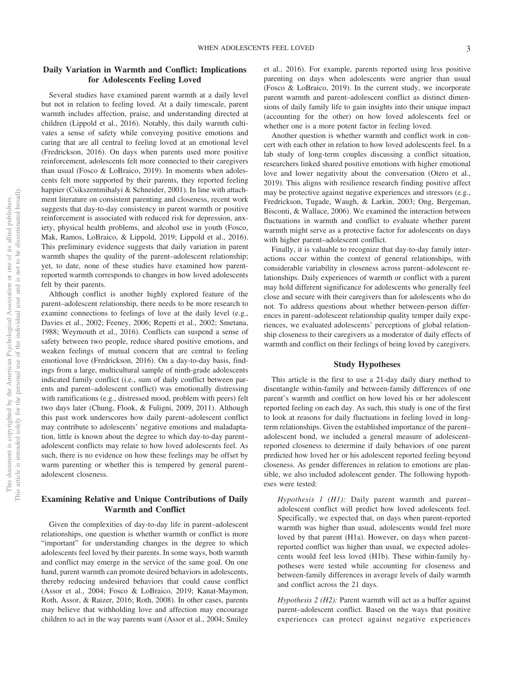#### **Daily Variation in Warmth and Conflict: Implications for Adolescents Feeling Loved**

Several studies have examined parent warmth at a daily level but not in relation to feeling loved. At a daily timescale, parent warmth includes affection, praise, and understanding directed at children (Lippold et al., 2016). Notably, this daily warmth cultivates a sense of safety while conveying positive emotions and caring that are all central to feeling loved at an emotional level (Fredrickson, 2016). On days when parents used more positive reinforcement, adolescents felt more connected to their caregivers than usual (Fosco & LoBraico, 2019). In moments when adolescents felt more supported by their parents, they reported feeling happier (Csikszentmihalyi & Schneider, 2001). In line with attachment literature on consistent parenting and closeness, recent work suggests that day-to-day consistency in parent warmth or positive reinforcement is associated with reduced risk for depression, anxiety, physical health problems, and alcohol use in youth (Fosco, Mak, Ramos, LoBraico, & Lippold, 2019; Lippold et al., 2016). This preliminary evidence suggests that daily variation in parent warmth shapes the quality of the parent–adolescent relationship; yet, to date, none of these studies have examined how parentreported warmth corresponds to changes in how loved adolescents felt by their parents.

Although conflict is another highly explored feature of the parent–adolescent relationship, there needs to be more research to examine connections to feelings of love at the daily level (e.g., Davies et al., 2002; Feeney, 2006; Repetti et al., 2002; Smetana, 1988; Weymouth et al., 2016). Conflicts can suspend a sense of safety between two people, reduce shared positive emotions, and weaken feelings of mutual concern that are central to feeling emotional love (Fredrickson, 2016). On a day-to-day basis, findings from a large, multicultural sample of ninth-grade adolescents indicated family conflict (i.e., sum of daily conflict between parents and parent–adolescent conflict) was emotionally distressing with ramifications (e.g., distressed mood, problem with peers) felt two days later (Chung, Flook, & Fuligni, 2009, 2011). Although this past work underscores how daily parent–adolescent conflict may contribute to adolescents' negative emotions and maladaptation, little is known about the degree to which day-to-day parent– adolescent conflicts may relate to how loved adolescents feel. As such, there is no evidence on how these feelings may be offset by warm parenting or whether this is tempered by general parent– adolescent closeness.

#### **Examining Relative and Unique Contributions of Daily Warmth and Conflict**

Given the complexities of day-to-day life in parent–adolescent relationships, one question is whether warmth or conflict is more "important" for understanding changes in the degree to which adolescents feel loved by their parents. In some ways, both warmth and conflict may emerge in the service of the same goal. On one hand, parent warmth can promote desired behaviors in adolescents, thereby reducing undesired behaviors that could cause conflict (Assor et al., 2004; Fosco & LoBraico, 2019; Kanat-Maymon, Roth, Assor, & Raizer, 2016; Roth, 2008). In other cases, parents may believe that withholding love and affection may encourage children to act in the way parents want (Assor et al., 2004; Smiley

et al., 2016). For example, parents reported using less positive parenting on days when adolescents were angrier than usual (Fosco & LoBraico, 2019). In the current study, we incorporate parent warmth and parent–adolescent conflict as distinct dimensions of daily family life to gain insights into their unique impact (accounting for the other) on how loved adolescents feel or whether one is a more potent factor in feeling loved.

Another question is whether warmth and conflict work in concert with each other in relation to how loved adolescents feel. In a lab study of long-term couples discussing a conflict situation, researchers linked shared positive emotions with higher emotional love and lower negativity about the conversation (Otero et al., 2019). This aligns with resilience research finding positive affect may be protective against negative experiences and stressors (e.g., Fredrickson, Tugade, Waugh, & Larkin, 2003; Ong, Bergeman, Bisconti, & Wallace, 2006). We examined the interaction between fluctuations in warmth and conflict to evaluate whether parent warmth might serve as a protective factor for adolescents on days with higher parent–adolescent conflict.

Finally, it is valuable to recognize that day-to-day family interactions occur within the context of general relationships, with considerable variability in closeness across parent–adolescent relationships. Daily experiences of warmth or conflict with a parent may hold different significance for adolescents who generally feel close and secure with their caregivers than for adolescents who do not. To address questions about whether between-person differences in parent–adolescent relationship quality temper daily experiences, we evaluated adolescents' perceptions of global relationship closeness to their caregivers as a moderator of daily effects of warmth and conflict on their feelings of being loved by caregivers.

#### **Study Hypotheses**

This article is the first to use a 21-day daily diary method to disentangle within-family and between-family differences of one parent's warmth and conflict on how loved his or her adolescent reported feeling on each day. As such, this study is one of the first to look at reasons for daily fluctuations in feeling loved in longterm relationships. Given the established importance of the parent– adolescent bond, we included a general measure of adolescentreported closeness to determine if daily behaviors of one parent predicted how loved her or his adolescent reported feeling beyond closeness. As gender differences in relation to emotions are plausible, we also included adolescent gender. The following hypotheses were tested:

*Hypothesis 1 (H1):* Daily parent warmth and parent– adolescent conflict will predict how loved adolescents feel. Specifically, we expected that, on days when parent-reported warmth was higher than usual, adolescents would feel more loved by that parent (H1a). However, on days when parentreported conflict was higher than usual, we expected adolescents would feel less loved (H1b). These within-family hypotheses were tested while accounting for closeness and between-family differences in average levels of daily warmth and conflict across the 21 days.

*Hypothesis 2 (H2):* Parent warmth will act as a buffer against parent–adolescent conflict. Based on the ways that positive experiences can protect against negative experiences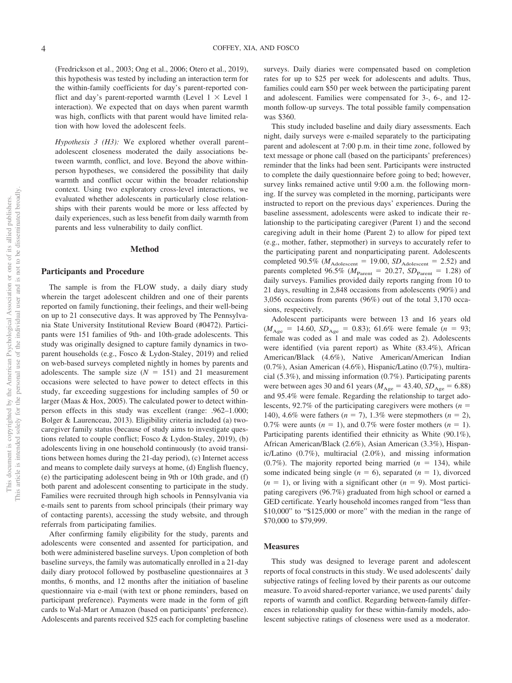(Fredrickson et al., 2003; Ong et al., 2006; Otero et al., 2019), this hypothesis was tested by including an interaction term for the within-family coefficients for day's parent-reported conflict and day's parent-reported warmth (Level  $1 \times$  Level 1 interaction). We expected that on days when parent warmth was high, conflicts with that parent would have limited relation with how loved the adolescent feels.

*Hypothesis 3 (H3):* We explored whether overall parent– adolescent closeness moderated the daily associations between warmth, conflict, and love. Beyond the above withinperson hypotheses, we considered the possibility that daily warmth and conflict occur within the broader relationship context. Using two exploratory cross-level interactions, we evaluated whether adolescents in particularly close relationships with their parents would be more or less affected by daily experiences, such as less benefit from daily warmth from parents and less vulnerability to daily conflict.

#### **Method**

#### **Participants and Procedure**

The sample is from the FLOW study, a daily diary study wherein the target adolescent children and one of their parents reported on family functioning, their feelings, and their well-being on up to 21 consecutive days. It was approved by The Pennsylvania State University Institutional Review Board (#0472). Participants were 151 families of 9th- and 10th-grade adolescents. This study was originally designed to capture family dynamics in twoparent households (e.g., Fosco & Lydon-Staley, 2019) and relied on web-based surveys completed nightly in homes by parents and adolescents. The sample size  $(N = 151)$  and 21 measurement occasions were selected to have power to detect effects in this study, far exceeding suggestions for including samples of 50 or larger (Maas & Hox, 2005). The calculated power to detect withinperson effects in this study was excellent (range: .962–1.000; Bolger & Laurenceau, 2013). Eligibility criteria included (a) twocaregiver family status (because of study aims to investigate questions related to couple conflict; Fosco & Lydon-Staley, 2019), (b) adolescents living in one household continuously (to avoid transitions between homes during the 21-day period), (c) Internet access and means to complete daily surveys at home, (d) English fluency, (e) the participating adolescent being in 9th or 10th grade, and (f) both parent and adolescent consenting to participate in the study. Families were recruited through high schools in Pennsylvania via e-mails sent to parents from school principals (their primary way of contacting parents), accessing the study website, and through referrals from participating families.

After confirming family eligibility for the study, parents and adolescents were consented and assented for participation, and both were administered baseline surveys. Upon completion of both baseline surveys, the family was automatically enrolled in a 21-day daily diary protocol followed by postbaseline questionnaires at 3 months, 6 months, and 12 months after the initiation of baseline questionnaire via e-mail (with text or phone reminders, based on participant preference). Payments were made in the form of gift cards to Wal-Mart or Amazon (based on participants' preference). Adolescents and parents received \$25 each for completing baseline

surveys. Daily diaries were compensated based on completion rates for up to \$25 per week for adolescents and adults. Thus, families could earn \$50 per week between the participating parent and adolescent. Families were compensated for 3-, 6-, and 12 month follow-up surveys. The total possible family compensation was \$360.

This study included baseline and daily diary assessments. Each night, daily surveys were e-mailed separately to the participating parent and adolescent at 7:00 p.m. in their time zone, followed by text message or phone call (based on the participants' preferences) reminder that the links had been sent. Participants were instructed to complete the daily questionnaire before going to bed; however, survey links remained active until 9:00 a.m. the following morning. If the survey was completed in the morning, participants were instructed to report on the previous days' experiences. During the baseline assessment, adolescents were asked to indicate their relationship to the participating caregiver (Parent 1) and the second caregiving adult in their home (Parent 2) to allow for piped text (e.g., mother, father, stepmother) in surveys to accurately refer to the participating parent and nonparticipating parent. Adolescents completed 90.5% ( $M_{\text{Adolescent}} = 19.00$ ,  $SD_{\text{Adolescent}} = 2.52$ ) and parents completed 96.5% ( $M_{\text{Parent}} = 20.27$ ,  $SD_{\text{Parent}} = 1.28$ ) of daily surveys. Families provided daily reports ranging from 10 to 21 days, resulting in 2,848 occasions from adolescents (90%) and 3,056 occasions from parents (96%) out of the total 3,170 occasions, respectively.

Adolescent participants were between 13 and 16 years old  $(M_{\text{Age}} = 14.60, SD_{\text{Age}} = 0.83)$ ; 61.6% were female (*n* = 93; female was coded as 1 and male was coded as 2). Adolescents were identified (via parent report) as White (83.4%), African American/Black (4.6%), Native American/American Indian (0.7%), Asian American (4.6%), Hispanic/Latino (0.7%), multiracial (5.3%), and missing information (0.7%). Participating parents were between ages 30 and 61 years ( $M_{\text{Age}} = 43.40$ ,  $SD_{\text{Age}} = 6.88$ ) and 95.4% were female. Regarding the relationship to target adolescents, 92.7% of the participating caregivers were mothers  $(n =$ 140), 4.6% were fathers  $(n = 7)$ , 1.3% were stepmothers  $(n = 2)$ , 0.7% were aunts  $(n = 1)$ , and 0.7% were foster mothers  $(n = 1)$ . Participating parents identified their ethnicity as White (90.1%), African American/Black (2.6%), Asian American (3.3%), Hispanic/Latino (0.7%), multiracial (2.0%), and missing information  $(0.7\%)$ . The majority reported being married  $(n = 134)$ , while some indicated being single  $(n = 6)$ , separated  $(n = 1)$ , divorced  $(n = 1)$ , or living with a significant other  $(n = 9)$ . Most participating caregivers (96.7%) graduated from high school or earned a GED certificate. Yearly household incomes ranged from "less than \$10,000" to "\$125,000 or more" with the median in the range of \$70,000 to \$79,999.

#### **Measures**

This study was designed to leverage parent and adolescent reports of focal constructs in this study. We used adolescents' daily subjective ratings of feeling loved by their parents as our outcome measure. To avoid shared-reporter variance, we used parents' daily reports of warmth and conflict. Regarding between-family differences in relationship quality for these within-family models, adolescent subjective ratings of closeness were used as a moderator.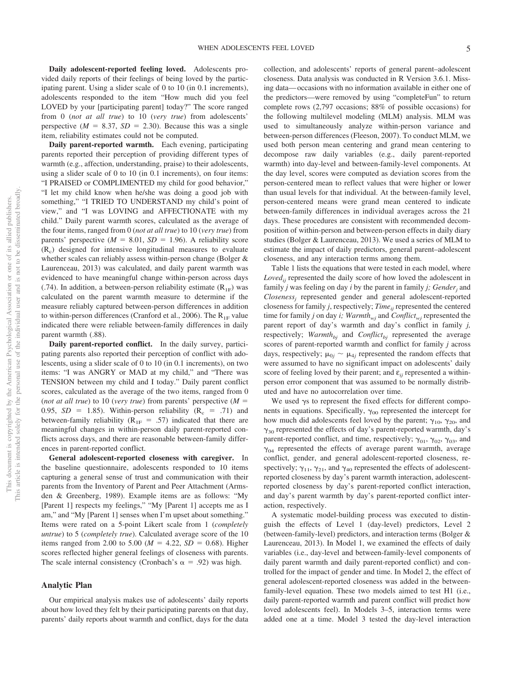**Daily adolescent-reported feeling loved.** Adolescents provided daily reports of their feelings of being loved by the participating parent. Using a slider scale of 0 to 10 (in 0.1 increments), adolescents responded to the item "How much did you feel LOVED by your [participating parent] today?" The score ranged from 0 (*not at all true*) to 10 (*very true*) from adolescents' perspective  $(M = 8.37, SD = 2.30)$ . Because this was a single item, reliability estimates could not be computed.

**Daily parent-reported warmth.** Each evening, participating parents reported their perception of providing different types of warmth (e.g., affection, understanding, praise) to their adolescents, using a slider scale of 0 to 10 (in 0.1 increments), on four items: "I PRAISED or COMPLIMENTED my child for good behavior," "I let my child know when he/she was doing a good job with something," "I TRIED TO UNDERSTAND my child's point of view," and "I was LOVING and AFFECTIONATE with my child." Daily parent warmth scores, calculated as the average of the four items, ranged from 0 (*not at all true*) to 10 (*very true*) from parents' perspective  $(M = 8.01, SD = 1.96)$ . A reliability score  $(R<sub>c</sub>)$  designed for intensive longitudinal measures to evaluate whether scales can reliably assess within-person change (Bolger & Laurenceau, 2013) was calculated, and daily parent warmth was evidenced to have meaningful change within-person across days (.74). In addition, a between-person reliability estimate  $(R_{1F})$  was calculated on the parent warmth measure to determine if the measure reliably captured between-person differences in addition to within-person differences (Cranford et al., 2006). The  $R_{1F}$  value indicated there were reliable between-family differences in daily parent warmth (.88).

**Daily parent-reported conflict.** In the daily survey, participating parents also reported their perception of conflict with adolescents, using a slider scale of 0 to 10 (in 0.1 increments), on two items: "I was ANGRY or MAD at my child," and "There was TENSION between my child and I today." Daily parent conflict scores, calculated as the average of the two items, ranged from 0 (*not at all true*) to 10 (*very true*) from parents' perspective ( $M =$ 0.95,  $SD = 1.85$ ). Within-person reliability ( $R_c = .71$ ) and between-family reliability ( $R_{1F} = .57$ ) indicated that there are meaningful changes in within-person daily parent-reported conflicts across days, and there are reasonable between-family differences in parent-reported conflict.

**General adolescent-reported closeness with caregiver.** In the baseline questionnaire, adolescents responded to 10 items capturing a general sense of trust and communication with their parents from the Inventory of Parent and Peer Attachment (Armsden & Greenberg, 1989). Example items are as follows: "My [Parent 1] respects my feelings," "My [Parent 1] accepts me as I am," and "My [Parent 1] senses when I'm upset about something." Items were rated on a 5-point Likert scale from 1 (*completely untrue*) to 5 (*completely true*). Calculated average score of the 10 items ranged from 2.00 to 5.00 ( $M = 4.22$ ,  $SD = 0.68$ ). Higher scores reflected higher general feelings of closeness with parents. The scale internal consistency (Cronbach's  $\alpha = .92$ ) was high.

#### **Analytic Plan**

Our empirical analysis makes use of adolescents' daily reports about how loved they felt by their participating parents on that day, parents' daily reports about warmth and conflict, days for the data collection, and adolescents' reports of general parent–adolescent closeness. Data analysis was conducted in R Version 3.6.1. Missing data— occasions with no information available in either one of the predictors—were removed by using "completeFun" to return complete rows (2,797 occasions; 88% of possible occasions) for the following multilevel modeling (MLM) analysis. MLM was used to simultaneously analyze within-person variance and between-person differences (Fleeson, 2007). To conduct MLM, we used both person mean centering and grand mean centering to decompose raw daily variables (e.g., daily parent-reported warmth) into day-level and between-family-level components. At the day level, scores were computed as deviation scores from the person-centered mean to reflect values that were higher or lower than usual levels for that individual. At the between-family level, person-centered means were grand mean centered to indicate between-family differences in individual averages across the 21 days. These procedures are consistent with recommended decomposition of within-person and between-person effects in daily diary studies (Bolger & Laurenceau, 2013). We used a series of MLM to estimate the impact of daily predictors, general parent–adolescent closeness, and any interaction terms among them.

Table 1 lists the equations that were tested in each model, where *Loved<sub>ii</sub>* represented the daily score of how loved the adolescent in family *j* was feeling on day *i* by the parent in family *j; Genderj* and *Closenessj* represented gender and general adolescent-reported closeness for family *j*, respectively; *Time*<sub>ij</sub> represented the centered time for family *j* on day *i*; Warmth<sub>wj</sub> and *Conflict<sub>wj</sub>* represented the parent report of day's warmth and day's conflict in family *j,* respectively;  $Warning_{bj}$  and  $Conflict_{bj}$  represented the average scores of parent-reported warmth and conflict for family *j* across days, respectively;  $\mu_{0j} \sim \mu_{4j}$  represented the random effects that were assumed to have no significant impact on adolescents' daily score of feeling loved by their parent; and  $\varepsilon_{ii}$  represented a withinperson error component that was assumed to be normally distributed and have no autocorrelation over time.

We used  $\gamma s$  to represent the fixed effects for different components in equations. Specifically,  $\gamma_{00}$  represented the intercept for how much did adolescents feel loved by the parent;  $\gamma_{10}$ ,  $\gamma_{20}$ , and  $\gamma_{30}$  represented the effects of day's parent-reported warmth, day's parent-reported conflict, and time, respectively;  $\gamma_{01}$ ,  $\gamma_{02}$ ,  $\gamma_{03}$ , and  $\gamma_{04}$  represented the effects of average parent warmth, average conflict, gender, and general adolescent-reported closeness, respectively;  $\gamma_{11}$ ,  $\gamma_{21}$ , and  $\gamma_{40}$  represented the effects of adolescentreported closeness by day's parent warmth interaction, adolescentreported closeness by day's parent-reported conflict interaction, and day's parent warmth by day's parent-reported conflict interaction, respectively.

A systematic model-building process was executed to distinguish the effects of Level 1 (day-level) predictors, Level 2 (between-family-level) predictors, and interaction terms (Bolger & Laurenceau, 2013). In Model 1, we examined the effects of daily variables (i.e., day-level and between-family-level components of daily parent warmth and daily parent-reported conflict) and controlled for the impact of gender and time. In Model 2, the effect of general adolescent-reported closeness was added in the betweenfamily-level equation. These two models aimed to test H1 (i.e., daily parent-reported warmth and parent conflict will predict how loved adolescents feel). In Models 3–5, interaction terms were added one at a time. Model 3 tested the day-level interaction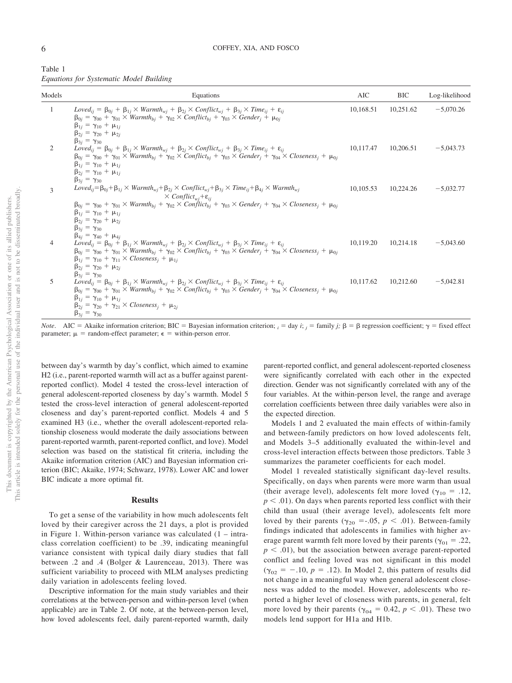| Table 1                                 |  |
|-----------------------------------------|--|
| Equations for Systematic Model Building |  |

| Models         | Equations                                                                                                                                                                                                                                                                                                                                                                                                                                                                                                                                                                                                                                                                       | AIC       | <b>BIC</b> | Log-likelihood |
|----------------|---------------------------------------------------------------------------------------------------------------------------------------------------------------------------------------------------------------------------------------------------------------------------------------------------------------------------------------------------------------------------------------------------------------------------------------------------------------------------------------------------------------------------------------------------------------------------------------------------------------------------------------------------------------------------------|-----------|------------|----------------|
| 1              | $Loved_{ij} = \beta_{0j} + \beta_{1j} \times Warmth_{wj} + \beta_{2j} \times Conflict_{wj} + \beta_{3j} \times Time_{ij} + \varepsilon_{ij}$<br>$\beta_{0j} = \gamma_{00} + \gamma_{01} \times Warmth_{bj} + \gamma_{02} \times Conflict_{bj} + \gamma_{03} \times Gender_j + \mu_{0j}$<br>$\beta_{1j} = \gamma_{10} + \mu_{1j}$<br>$\beta_{2j} = \gamma_{20} + \mu_{2j}$                                                                                                                                                                                                                                                                                                       | 10,168.51 | 10,251.62  | $-5,070.26$    |
| 2              | $\beta_{3i} = \gamma_{30}$<br>$Loved_{ij} = \beta_{0j} + \beta_{1j} \times Warmth_{wj} + \beta_{2j} \times Conflict_{wj} + \beta_{3j} \times Time_{ij} + \varepsilon_{ij}$<br>$\beta_{0j} = \gamma_{00} + \gamma_{01} \times Warmth_{bj} + \gamma_{02} \times Conflict_{bj} + \gamma_{03} \times Gender_j + \gamma_{04} \times Closeness_j + \mu_{0j}$<br>$\beta_{1j} = \gamma_{10} + \mu_{1j}$<br>$\beta_{2j} = \gamma_{10} + \mu_{1j}$<br>$\beta_{3i} = \gamma_{30}$                                                                                                                                                                                                          | 10,117.47 | 10,206.51  | $-5,043.73$    |
| 3              | $\label{eq:lognormalization} \footnotesize \textit{Loved}_{ij} = \beta_{0j} + \beta_{1j} \times \textit{Warmth}_{wj} + \beta_{2j} \times \textit{Conflict}_{wj} + \beta_{3j} \times \textit{Time}_{ij} + \beta_{4j} \times \textit{Warmth}_{wj}$<br>$\times$ Conflict <sub>wi</sub> + $\varepsilon$ <sub>ii</sub><br>$\beta_{0j} = \gamma_{00} + \gamma_{01} \times Warmth_{bi} + \gamma_{02} \times \text{Conflict}_{bi} + \gamma_{03} \times \text{Gender}_{i} + \gamma_{04} \times \text{Closeness}_{i} + \mu_{0i}$<br>$\beta_{1j} = \gamma_{10} + \mu_{1j}$<br>$\beta_{2j} = \gamma_{20} + \mu_{2j}$<br>$\beta_{3j} = \gamma_{30}$<br>$\beta_{4j} = \gamma_{40} + \mu_{4j}$ | 10,105.53 | 10,224.26  | $-5,032.77$    |
| $\overline{4}$ | $Loved_{ij} = \beta_{0j} + \beta_{1j} \times Warmth_{wj} + \beta_{2j} \times Conflict_{wj} + \beta_{3j} \times Time_{ij} + \varepsilon_{ij}$<br>$\beta_{0j} = \gamma_{00} + \gamma_{01} \times \text{Warmth}_{bj} + \gamma_{02} \times \text{Conflict}_{bj} + \gamma_{03} \times \text{Gender}_{j} + \gamma_{04} \times \text{Closeness}_{j} + \mu_{0j}$<br>$\beta_{1j} = \gamma_{10} + \gamma_{11} \times \text{Closeness}_i + \mu_{1i}$<br>$\beta_{2i} = \gamma_{20} + \mu_{2i}$<br>$\beta_{3i} = \gamma_{30}$                                                                                                                                                                | 10,119.20 | 10,214.18  | $-5,043.60$    |
| 5              | $Loved_{ij} = \beta_{0j} + \beta_{1j} \times Warmth_{wj} + \beta_{2j} \times Conflict_{wj} + \beta_{3j} \times Time_{ij} + \varepsilon_{ij}$<br>$\beta_{0j} = \gamma_{00} + \gamma_{01} \times \text{Warmth}_{bj} + \gamma_{02} \times \text{Conflict}_{bj} + \gamma_{03} \times \text{Gender}_{j} + \gamma_{04} \times \text{Closeness}_{j} + \mu_{0j}$<br>$\beta_{1j} = \gamma_{10} + \mu_{1j}$<br>$\beta_{2j} = \gamma_{20} + \gamma_{21} \times \text{Closeness}_j + \mu_{2j}$<br>$\beta_{3j} = \gamma_{30}$                                                                                                                                                                | 10,117.62 | 10,212.60  | $-5,042.81$    |

*Note.* AIC = Akaike information criterion; BIC = Bayesian information criterion;  $_i = \text{day } i$ ;  $_j = \text{family } j$ ;  $\beta = \beta$  regression coefficient;  $\gamma = \text{fixed effect}$ parameter;  $\mu$  = random-effect parameter;  $\epsilon$  = within-person error.

between day's warmth by day's conflict, which aimed to examine H2 (i.e., parent-reported warmth will act as a buffer against parentreported conflict). Model 4 tested the cross-level interaction of general adolescent-reported closeness by day's warmth. Model 5 tested the cross-level interaction of general adolescent-reported closeness and day's parent-reported conflict. Models 4 and 5 examined H3 (i.e., whether the overall adolescent-reported relationship closeness would moderate the daily associations between parent-reported warmth, parent-reported conflict, and love). Model selection was based on the statistical fit criteria, including the Akaike information criterion (AIC) and Bayesian information criterion (BIC; Akaike, 1974; Schwarz, 1978). Lower AIC and lower BIC indicate a more optimal fit.

#### **Results**

To get a sense of the variability in how much adolescents felt loved by their caregiver across the 21 days, a plot is provided in [Figure 1.](#page-7-0) Within-person variance was calculated (1 – intraclass correlation coefficient) to be .39, indicating meaningful variance consistent with typical daily diary studies that fall between .2 and .4 (Bolger & Laurenceau, 2013). There was sufficient variability to proceed with MLM analyses predicting daily variation in adolescents feeling loved.

Descriptive information for the main study variables and their correlations at the between-person and within-person level (when applicable) are in [Table 2.](#page-7-1) Of note, at the between-person level, how loved adolescents feel, daily parent-reported warmth, daily parent-reported conflict, and general adolescent-reported closeness were significantly correlated with each other in the expected direction. Gender was not significantly correlated with any of the four variables. At the within-person level, the range and average correlation coefficients between three daily variables were also in the expected direction.

Models 1 and 2 evaluated the main effects of within-family and between-family predictors on how loved adolescents felt, and Models 3–5 additionally evaluated the within-level and cross-level interaction effects between those predictors. [Table 3](#page-8-0) summarizes the parameter coefficients for each model.

Model 1 revealed statistically significant day-level results. Specifically, on days when parents were more warm than usual (their average level), adolescents felt more loved ( $\gamma_{10} = .12$ ,  $p < .01$ ). On days when parents reported less conflict with their child than usual (their average level), adolescents felt more loved by their parents ( $\gamma_{20} = -0.05$ ,  $p < 0.01$ ). Between-family findings indicated that adolescents in families with higher average parent warmth felt more loved by their parents ( $\gamma_{01} = .22$ ,  $p < .01$ ), but the association between average parent-reported conflict and feeling loved was not significant in this model  $(\gamma_{02} = -.10, p = .12)$ . In Model 2, this pattern of results did not change in a meaningful way when general adolescent closeness was added to the model. However, adolescents who reported a higher level of closeness with parents, in general, felt more loved by their parents ( $\gamma_{04} = 0.42$ ,  $p < .01$ ). These two models lend support for H1a and H1b.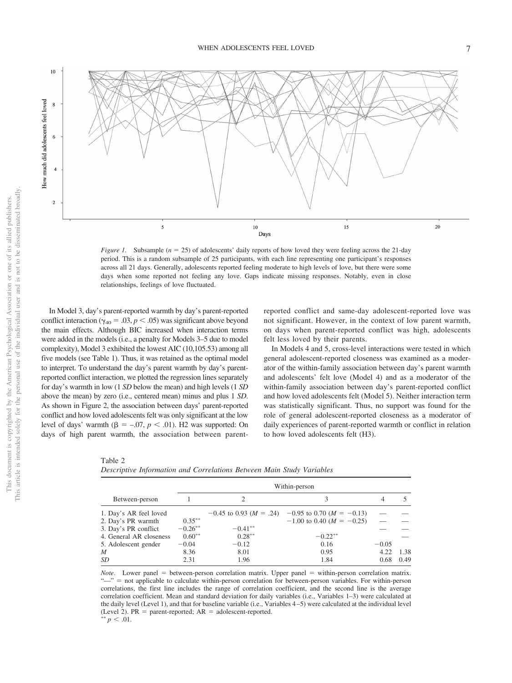

<span id="page-7-0"></span>*Figure 1.* Subsample ( $n = 25$ ) of adolescents' daily reports of how loved they were feeling across the 21-day period. This is a random subsample of 25 participants, with each line representing one participant's responses across all 21 days. Generally, adolescents reported feeling moderate to high levels of love, but there were some days when some reported not feeling any love. Gaps indicate missing responses. Notably, even in close relationships, feelings of love fluctuated.

In Model 3, day's parent-reported warmth by day's parent-reported conflict interaction ( $\gamma_{40} = .03, p < .05$ ) was significant above beyond the main effects. Although BIC increased when interaction terms were added in the models (i.e., a penalty for Models 3–5 due to model complexity), Model 3 exhibited the lowest AIC (10,105.53) among all five models (see Table 1). Thus, it was retained as the optimal model to interpret. To understand the day's parent warmth by day's parentreported conflict interaction, we plotted the regression lines separately for day's warmth in low (1 *SD* below the mean) and high levels (1 *SD* above the mean) by zero (i.e., centered mean) minus and plus 1 *SD*. As shown in [Figure 2,](#page-9-0) the association between days' parent-reported conflict and how loved adolescents felt was only significant at the low level of days' warmth  $(\beta = -.07, p < .01)$ . H2 was supported: On days of high parent warmth, the association between parentreported conflict and same-day adolescent-reported love was not significant. However, in the context of low parent warmth, on days when parent-reported conflict was high, adolescents felt less loved by their parents.

In Models 4 and 5, cross-level interactions were tested in which general adolescent-reported closeness was examined as a moderator of the within-family association between day's parent warmth and adolescents' felt love (Model 4) and as a moderator of the within-family association between day's parent-reported conflict and how loved adolescents felt (Model 5). Neither interaction term was statistically significant. Thus, no support was found for the role of general adolescent-reported closeness as a moderator of daily experiences of parent-reported warmth or conflict in relation to how loved adolescents felt (H3).

<span id="page-7-1"></span>Table 2 *Descriptive Information and Correlations Between Main Study Variables*

|                         |           |            | Within-person                                                 |         |      |
|-------------------------|-----------|------------|---------------------------------------------------------------|---------|------|
| Between-person          |           |            |                                                               | 4       |      |
| 1. Day's AR feel loved  |           |            | $-0.45$ to 0.93 ( $M = .24$ ) $-0.95$ to 0.70 ( $M = -0.13$ ) |         |      |
| 2. Day's PR warmth      | $0.35***$ |            | $-1.00$ to 0.40 ( $M = -0.25$ )                               |         |      |
| 3. Day's PR conflict    | $-0.26**$ | $-0.41***$ |                                                               |         |      |
| 4. General AR closeness | $0.60**$  | $0.28***$  | $-0.22**$                                                     |         |      |
| 5. Adolescent gender    | $-0.04$   | $-0.12$    | 0.16                                                          | $-0.05$ |      |
| M                       | 8.36      | 8.01       | 0.95                                                          | 4.22    | 1.38 |
| SD                      | 2.31      | 1.96       | 1.84                                                          | 0.68    | 0.49 |

*Note*. Lower panel = between-person correlation matrix. Upper panel = within-person correlation matrix. "—" = not applicable to calculate within-person correlation for between-person variables. For within-person correlations, the first line includes the range of correlation coefficient, and the second line is the average correlation coefficient. Mean and standard deviation for daily variables (i.e., Variables 1–3) were calculated at the daily level (Level 1), and that for baseline variable (i.e., Variables 4 –5) were calculated at the individual level (Level 2). PR = parent-reported;  $AR = \text{adolescent-reported.}$ <br>\*\*  $n \leq 0.1$  $p < .01$ .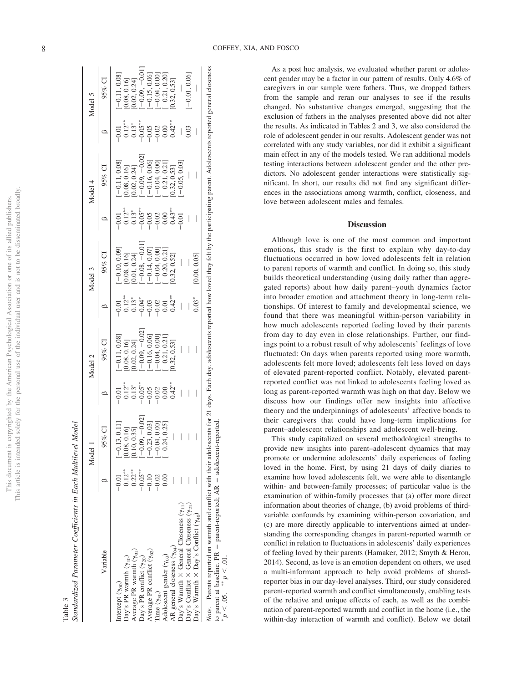| ١                      | j<br>Ì                 |
|------------------------|------------------------|
| ì<br>j<br>ì<br>t       | Ċ                      |
| ļ                      |                        |
| j                      |                        |
| į                      |                        |
|                        |                        |
| i                      |                        |
| $\frac{3}{5}$          |                        |
|                        |                        |
|                        |                        |
|                        | ï                      |
| j                      |                        |
| İ<br>J<br>2            |                        |
|                        |                        |
| I                      |                        |
| L utv                  | ţ                      |
|                        | ¢<br><b>CONTRACTOR</b> |
|                        |                        |
| j                      | ł                      |
| j                      | I<br>ì<br>ì            |
| ļ<br>I<br>J<br>í       |                        |
| $-0.9912244$<br>ì<br>¢ |                        |
|                        |                        |
| ĵ<br>j<br>ł            |                        |
| j                      | j<br>j                 |
| F<br>ł                 | 3                      |
|                        | <b>C</b> P O<br>ĺ<br>ì |

| Standardized Parameter Coefficients in Each Multilevel Model |                               |                                    |                                                                                  |                                                                                                                                  |                                                                            |                                                                                                                  |                                                              |                                                                                                                                                  |                                                                                                                                                                                                                                                                                                                      |                                                                                                                                                  |
|--------------------------------------------------------------|-------------------------------|------------------------------------|----------------------------------------------------------------------------------|----------------------------------------------------------------------------------------------------------------------------------|----------------------------------------------------------------------------|------------------------------------------------------------------------------------------------------------------|--------------------------------------------------------------|--------------------------------------------------------------------------------------------------------------------------------------------------|----------------------------------------------------------------------------------------------------------------------------------------------------------------------------------------------------------------------------------------------------------------------------------------------------------------------|--------------------------------------------------------------------------------------------------------------------------------------------------|
|                                                              |                               | Model 1                            |                                                                                  | Model 2                                                                                                                          |                                                                            | Model 3                                                                                                          |                                                              | Model 4                                                                                                                                          |                                                                                                                                                                                                                                                                                                                      | Model 5                                                                                                                                          |
| Variable                                                     |                               | 95% CI                             |                                                                                  | 95% CI                                                                                                                           |                                                                            | 95% CI                                                                                                           |                                                              | 95% CI                                                                                                                                           |                                                                                                                                                                                                                                                                                                                      | 95% CI                                                                                                                                           |
| intercept $(\gamma_{00})$                                    | $-0.01$                       | $[-0.13, 0.11]$                    |                                                                                  |                                                                                                                                  |                                                                            |                                                                                                                  |                                                              |                                                                                                                                                  |                                                                                                                                                                                                                                                                                                                      |                                                                                                                                                  |
| $\text{Day's PR}$ warmth $(\gamma_{10})$                     | $0.12**$                      | [0.08, 0.16]                       |                                                                                  | $\begin{array}{l} [-0.11, 0.08] \\ [0.08, 0.16] \\ [0.02, 0.24] \\ [-0.09, -0.02] \\ [-0.16, 0.06] \\ [-0.16, 0.06] \end{array}$ | $-0.01$<br>$0.12$ <sup>**</sup><br>$0.03$<br>$-0.03$<br>$-0.02$<br>$-0.01$ | $[-0.10, 0.09]$<br>[0.08, 0.16]                                                                                  | $-0.01$<br>$0.12$<br>$0.13$<br>$-0.05$<br>$-0.02$<br>$-0.02$ | $\begin{array}{l}[-0.11, 0.08] \\ [0.08, 0.16] \\ [0.02, 0.24] \\ [-0.09, -0.02] \\ [-0.16, 0.06] \\ [-0.04, 0.00] \\ [-0.04, 0.00] \end{array}$ |                                                                                                                                                                                                                                                                                                                      | $\begin{array}{l}[-0.11, 0.08]\\[0.08, 0.16]\\[0.02, 0.24]\\[0.02, 0.24]\\[-0.09,-0.06]\\[-0.15, 0.06]\\[-0.04, 0.00]\\[-0.21, 0.20]\end{array}$ |
| verage PR warmth $(\gamma_{01})$                             | $0.22***$                     |                                    |                                                                                  |                                                                                                                                  |                                                                            |                                                                                                                  |                                                              |                                                                                                                                                  |                                                                                                                                                                                                                                                                                                                      |                                                                                                                                                  |
| Day's PR conflict $(\gamma_{20})$                            |                               | $[0.10, 0.35]$<br>$[-0.09, -0.02]$ |                                                                                  |                                                                                                                                  |                                                                            |                                                                                                                  |                                                              |                                                                                                                                                  |                                                                                                                                                                                                                                                                                                                      |                                                                                                                                                  |
| Average PR conflict $(\gamma_{02})$                          | $-0.05$<br>$-0.10$<br>$-0.02$ |                                    |                                                                                  |                                                                                                                                  |                                                                            |                                                                                                                  |                                                              |                                                                                                                                                  |                                                                                                                                                                                                                                                                                                                      |                                                                                                                                                  |
| $Time (Y_{30})$                                              |                               | $[-0.23, 0.03]$<br>$[-0.04, 0.00]$ |                                                                                  |                                                                                                                                  |                                                                            |                                                                                                                  |                                                              |                                                                                                                                                  |                                                                                                                                                                                                                                                                                                                      |                                                                                                                                                  |
| Adolescent gender ( $\gamma_{03}$ )                          | 0.00                          | $[-0.24, 0.25]$                    | $-0.01$<br>$0.12$<br>$0.35$<br>$-0.05$<br>$-0.02$<br>$-0.00$<br>$0.00$<br>$0.00$ | $-0.21, 0.21]$                                                                                                                   |                                                                            | $\begin{array}{l} [0.01, 0.24] \\ [-0.08, -0.01] \\ [-0.14, 0.07] \\ [-0.04, 0.00] \\ [-0.20, 0.21] \end{array}$ |                                                              |                                                                                                                                                  | $\begin{bmatrix} -0.01 \\ 0.12 \\ -0.65 \\ -0.05 \\ -0.02 \\ -0.02 \\ -0.02 \\ 0.00 \\ -0.00 \\ 0.00 \\ 0.00 \\ 0.00 \\ 0.00 \\ 0.00 \\ 0.00 \\ 0.00 \\ 0.00 \\ 0.00 \\ 0.00 \\ 0.00 \\ 0.00 \\ 0.00 \\ 0.00 \\ 0.00 \\ 0.00 \\ 0.00 \\ 0.00 \\ 0.00 \\ 0.00 \\ 0.00 \\ 0.00 \\ 0.00 \\ 0.00 \\ 0.00 \\ 0.00 \\ 0.0$ |                                                                                                                                                  |
| $\frac{1}{2}$                                                |                               |                                    |                                                                                  | FO OO O FOT                                                                                                                      | C ACK                                                                      | $\sim 22$ $\sim 23$                                                                                              | <b>CONTINENT</b>                                             |                                                                                                                                                  |                                                                                                                                                                                                                                                                                                                      | $\sim 22$ $\sim 23$                                                                                                                              |

 $-0.04, 0.00]$  $-0.21, 0.21]$  $-0.05, 0.03$ 

 $[10.001, 0.000]$ 

 $-0.09 - 0.01$ 

<span id="page-8-0"></span>Table 3

| ١          | $\ddot{\cdot}$<br>ļ<br>$\sum_{\alpha\in\mathcal{C}}\mathbf{W}_{\alpha\text{rank}}\times\mathbf{D}_{\alpha\in\mathcal{C}}$<br>i, | $\ddot{\phantom{a}}$<br>Ĵ.<br>j | $\bigg $ | $\overline{\phantom{a}}$ | $\bigg $ | $\bigg $ |  | $\begin{array}{c} \end{array}$ | $\begin{array}{c} \hline \end{array}$ | $\overline{a}$<br>$\begin{array}{c} \hline \end{array}$ | $\overline{\phantom{a}}$<br>$\begin{array}{c} \hline \end{array}$ |
|------------|---------------------------------------------------------------------------------------------------------------------------------|---------------------------------|----------|--------------------------|----------|----------|--|--------------------------------|---------------------------------------|---------------------------------------------------------|-------------------------------------------------------------------|
| J.<br>ote. | another diffusion and the hand<br>arents re                                                                                     | flict wi                        |          | ţ                        |          |          |  |                                |                                       |                                                         |                                                                   |
|            | to parent at baseline. PR = parent-reported: $AR = \text{adolescent}$                                                           |                                 | j        | i<br>١<br>ī              |          |          |  |                                |                                       |                                                         |                                                                   |

to parent at baseline.  $PR =$  $=$  parent-reported; AR  $=$  $p < .05.$  $p > p$  = .01.

-

AR general closeness ( $\gamma_{04}$ ) —

 $0.42***$ 

 $[0.32, 0.53]$  0.42<sup>\*</sup>

 $[-0.21, 0.21]$ <br>[0.32, 0.53]

Day's Warmth General Closeness (11) —————— 0.01 [0.05, 0.03] — — Day's Conflict General Closeness (21) ———————— 0.03 [0.01, 0.06]

 $\overline{\phantom{a}}$  $\mathbb{R}$ 

 $\overline{1}$ 

Day's Warmth  $\times$  General Closeness  $(\gamma_{11})$ <br>Day's Conflict  $\times$  General Closeness  $(\gamma_{21})$ 

general closeness  $(\gamma_{04})$ 

 $\overline{\mathbf{A}}$ 

 $\vert \ \ \vert$ 

 $0.42***$ 

 $\overline{a}$ 

 $[0.32, 0.52]$ 

 $0.32, 0.52]$ 

 $[0.32, 0.53]$  0.42<sup>\*</sup>

 $0.32, 0.53$ 

 $0.42**$ 

 $[0.32, 0.53]$ 

 $0.32, 0.53$ 

 $-0.01, 0.06$ 

 $0.03$ 

As a post hoc analysis, we evaluated whether parent or adolescent gender may be a factor in our pattern of results. Only 4.6% of caregivers in our sample were fathers. Thus, we dropped fathers from the sample and reran our analyses to see if the results changed. No substantive changes emerged, suggesting that the exclusion of fathers in the analyses presented above did not alter the results. As indicated in [Tables 2](#page-7-1) and [3,](#page-8-0) we also considered the role of adolescent gender in our results. Adolescent gender was not correlated with any study variables, nor did it exhibit a significant main effect in any of the models tested. We ran additional models testing interactions between adolescent gender and the other predictors. No adolescent gender interactions were statistically significant. In short, our results did not find any significant differences in the associations among warmth, conflict, closeness, and love between adolescent males and females.

#### **Discussion**

Although love is one of the most common and important emotions, this study is the first to explain why day-to-day fluctuations occurred in how loved adolescents felt in relation to parent reports of warmth and conflict. In doing so, this study builds theoretical understanding (using daily rather than aggregated reports) about how daily parent–youth dynamics factor into broader emotion and attachment theory in long-term relationships. Of interest to family and developmental science, we found that there was meaningful within-person variability in how much adolescents reported feeling loved by their parents from day to day even in close relationships. Further, our findings point to a robust result of why adolescents' feelings of love fluctuated: On days when parents reported using more warmth, adolescents felt more loved; adolescents felt less loved on days of elevated parent-reported conflict. Notably, elevated parentreported conflict was not linked to adolescents feeling loved as long as parent-reported warmth was high on that day. Below we discuss how our findings offer new insights into affective theory and the underpinnings of adolescents' affective bonds to their caregivers that could have long-term implications for parent–adolescent relationships and adolescent well-being.

This study capitalized on several methodological strengths to provide new insights into parent–adolescent dynamics that may promote or undermine adolescents' daily experiences of feeling loved in the home. First, by using 21 days of daily diaries to examine how loved adolescents felt, we were able to disentangle within- and between-family processes; of particular value is the examination of within-family processes that (a) offer more direct information about theories of change, (b) avoid problems of thirdvariable confounds by examining within-person covariation, and (c) are more directly applicable to interventions aimed at understanding the corresponding changes in parent-reported warmth or conflict in relation to fluctuations in adolescents' daily experiences of feeling loved by their parents (Hamaker, 2012; Smyth & Heron, 2014). Second, as love is an emotion dependent on others, we used a multi-informant approach to help avoid problems of sharedreporter bias in our day-level analyses. Third, our study considered parent-reported warmth and conflict simultaneously, enabling tests of the relative and unique effects of each, as well as the combination of parent-reported warmth and conflict in the home (i.e., the within-day interaction of warmth and conflict). Below we detail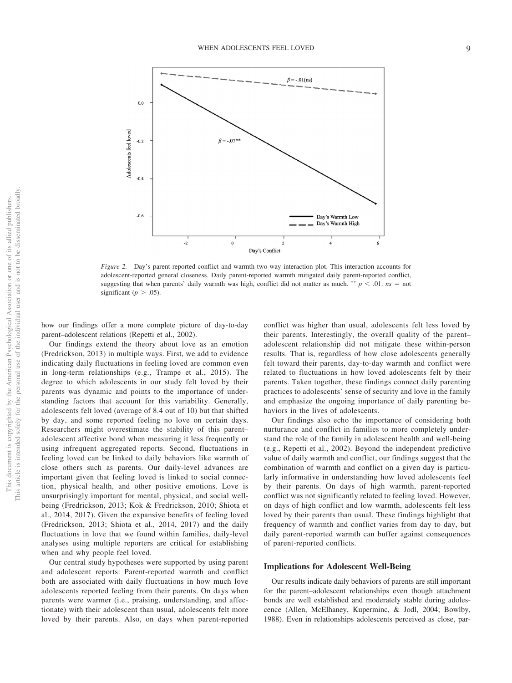

<span id="page-9-0"></span>*Figure 2.* Day's parent-reported conflict and warmth two-way interaction plot. This interaction accounts for adolescent-reported general closeness. Daily parent-reported warmth mitigated daily parent-reported conflict, suggesting that when parents' daily warmth was high, conflict did not matter as much.  $^{**} p < .01$ .  $ns = not$ significant ( $p > .05$ ).

how our findings offer a more complete picture of day-to-day parent–adolescent relations (Repetti et al., 2002).

Our findings extend the theory about love as an emotion (Fredrickson, 2013) in multiple ways. First, we add to evidence indicating daily fluctuations in feeling loved are common even in long-term relationships (e.g., Trampe et al., 2015). The degree to which adolescents in our study felt loved by their parents was dynamic and points to the importance of understanding factors that account for this variability. Generally, adolescents felt loved (average of 8.4 out of 10) but that shifted by day, and some reported feeling no love on certain days. Researchers might overestimate the stability of this parent– adolescent affective bond when measuring it less frequently or using infrequent aggregated reports. Second, fluctuations in feeling loved can be linked to daily behaviors like warmth of close others such as parents. Our daily-level advances are important given that feeling loved is linked to social connection, physical health, and other positive emotions. Love is unsurprisingly important for mental, physical, and social wellbeing (Fredrickson, 2013; Kok & Fredrickson, 2010; Shiota et al., 2014, 2017). Given the expansive benefits of feeling loved (Fredrickson, 2013; Shiota et al., 2014, 2017) and the daily fluctuations in love that we found within families, daily-level analyses using multiple reporters are critical for establishing when and why people feel loved.

Our central study hypotheses were supported by using parent and adolescent reports: Parent-reported warmth and conflict both are associated with daily fluctuations in how much love adolescents reported feeling from their parents. On days when parents were warmer (i.e., praising, understanding, and affectionate) with their adolescent than usual, adolescents felt more loved by their parents. Also, on days when parent-reported conflict was higher than usual, adolescents felt less loved by their parents. Interestingly, the overall quality of the parent– adolescent relationship did not mitigate these within-person results. That is, regardless of how close adolescents generally felt toward their parents, day-to-day warmth and conflict were related to fluctuations in how loved adolescents felt by their parents. Taken together, these findings connect daily parenting practices to adolescents' sense of security and love in the family and emphasize the ongoing importance of daily parenting behaviors in the lives of adolescents.

Our findings also echo the importance of considering both nurturance and conflict in families to more completely understand the role of the family in adolescent health and well-being (e.g., Repetti et al., 2002). Beyond the independent predictive value of daily warmth and conflict, our findings suggest that the combination of warmth and conflict on a given day is particularly informative in understanding how loved adolescents feel by their parents. On days of high warmth, parent-reported conflict was not significantly related to feeling loved. However, on days of high conflict and low warmth, adolescents felt less loved by their parents than usual. These findings highlight that frequency of warmth and conflict varies from day to day, but daily parent-reported warmth can buffer against consequences of parent-reported conflicts.

#### **Implications for Adolescent Well-Being**

Our results indicate daily behaviors of parents are still important for the parent–adolescent relationships even though attachment bonds are well established and moderately stable during adolescence (Allen, McElhaney, Kuperminc, & Jodl, 2004; Bowlby, 1988). Even in relationships adolescents perceived as close, par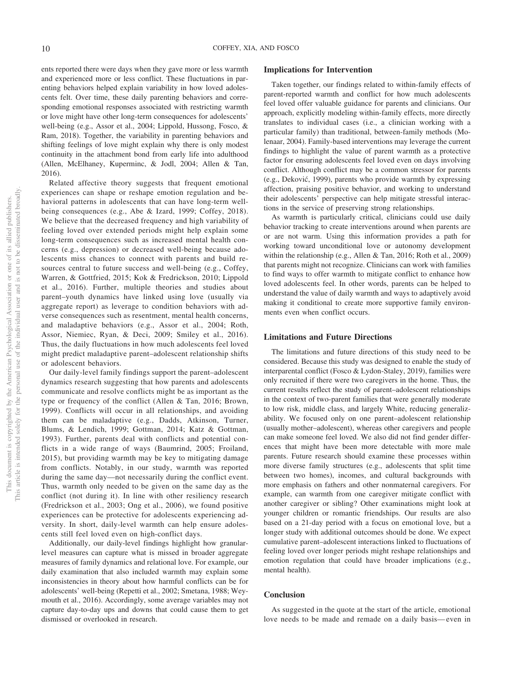ents reported there were days when they gave more or less warmth and experienced more or less conflict. These fluctuations in parenting behaviors helped explain variability in how loved adolescents felt. Over time, these daily parenting behaviors and corresponding emotional responses associated with restricting warmth or love might have other long-term consequences for adolescents' well-being (e.g., Assor et al., 2004; Lippold, Hussong, Fosco, & Ram, 2018). Together, the variability in parenting behaviors and shifting feelings of love might explain why there is only modest continuity in the attachment bond from early life into adulthood (Allen, McElhaney, Kuperminc, & Jodl, 2004; Allen & Tan, 2016).

Related affective theory suggests that frequent emotional experiences can shape or reshape emotion regulation and behavioral patterns in adolescents that can have long-term wellbeing consequences (e.g., Abe & Izard, 1999; Coffey, 2018). We believe that the decreased frequency and high variability of feeling loved over extended periods might help explain some long-term consequences such as increased mental health concerns (e.g., depression) or decreased well-being because adolescents miss chances to connect with parents and build resources central to future success and well-being (e.g., Coffey, Warren, & Gottfried, 2015; Kok & Fredrickson, 2010; Lippold et al., 2016). Further, multiple theories and studies about parent–youth dynamics have linked using love (usually via aggregate report) as leverage to condition behaviors with adverse consequences such as resentment, mental health concerns, and maladaptive behaviors (e.g., Assor et al., 2004; Roth, Assor, Niemiec, Ryan, & Deci, 2009; Smiley et al., 2016). Thus, the daily fluctuations in how much adolescents feel loved might predict maladaptive parent–adolescent relationship shifts or adolescent behaviors.

Our daily-level family findings support the parent–adolescent dynamics research suggesting that how parents and adolescents communicate and resolve conflicts might be as important as the type or frequency of the conflict (Allen & Tan, 2016; Brown, 1999). Conflicts will occur in all relationships, and avoiding them can be maladaptive (e.g., Dadds, Atkinson, Turner, Blums, & Lendich, 1999; Gottman, 2014; Katz & Gottman, 1993). Further, parents deal with conflicts and potential conflicts in a wide range of ways (Baumrind, 2005; Froiland, 2015), but providing warmth may be key to mitigating damage from conflicts. Notably, in our study, warmth was reported during the same day—not necessarily during the conflict event. Thus, warmth only needed to be given on the same day as the conflict (not during it). In line with other resiliency research (Fredrickson et al., 2003; Ong et al., 2006), we found positive experiences can be protective for adolescents experiencing adversity. In short, daily-level warmth can help ensure adolescents still feel loved even on high-conflict days.

Additionally, our daily-level findings highlight how granularlevel measures can capture what is missed in broader aggregate measures of family dynamics and relational love. For example, our daily examination that also included warmth may explain some inconsistencies in theory about how harmful conflicts can be for adolescents' well-being (Repetti et al., 2002; Smetana, 1988; Weymouth et al., 2016). Accordingly, some average variables may not capture day-to-day ups and downs that could cause them to get dismissed or overlooked in research.

#### **Implications for Intervention**

Taken together, our findings related to within-family effects of parent-reported warmth and conflict for how much adolescents feel loved offer valuable guidance for parents and clinicians. Our approach, explicitly modeling within-family effects, more directly translates to individual cases (i.e., a clinician working with a particular family) than traditional, between-family methods (Molenaar, 2004). Family-based interventions may leverage the current findings to highlight the value of parent warmth as a protective factor for ensuring adolescents feel loved even on days involving conflict. Although conflict may be a common stressor for parents (e.g., Dekovic´, 1999), parents who provide warmth by expressing affection, praising positive behavior, and working to understand their adolescents' perspective can help mitigate stressful interactions in the service of preserving strong relationships.

As warmth is particularly critical, clinicians could use daily behavior tracking to create interventions around when parents are or are not warm. Using this information provides a path for working toward unconditional love or autonomy development within the relationship (e.g., Allen & Tan, 2016; Roth et al., 2009) that parents might not recognize. Clinicians can work with families to find ways to offer warmth to mitigate conflict to enhance how loved adolescents feel. In other words, parents can be helped to understand the value of daily warmth and ways to adaptively avoid making it conditional to create more supportive family environments even when conflict occurs.

#### **Limitations and Future Directions**

The limitations and future directions of this study need to be considered. Because this study was designed to enable the study of interparental conflict (Fosco & Lydon-Staley, 2019), families were only recruited if there were two caregivers in the home. Thus, the current results reflect the study of parent–adolescent relationships in the context of two-parent families that were generally moderate to low risk, middle class, and largely White, reducing generalizability. We focused only on one parent–adolescent relationship (usually mother–adolescent), whereas other caregivers and people can make someone feel loved. We also did not find gender differences that might have been more detectable with more male parents. Future research should examine these processes within more diverse family structures (e.g., adolescents that split time between two homes), incomes, and cultural backgrounds with more emphasis on fathers and other nonmaternal caregivers. For example, can warmth from one caregiver mitigate conflict with another caregiver or sibling? Other examinations might look at younger children or romantic friendships. Our results are also based on a 21-day period with a focus on emotional love, but a longer study with additional outcomes should be done. We expect cumulative parent–adolescent interactions linked to fluctuations of feeling loved over longer periods might reshape relationships and emotion regulation that could have broader implications (e.g., mental health).

#### **Conclusion**

As suggested in the quote at the start of the article, emotional love needs to be made and remade on a daily basis— even in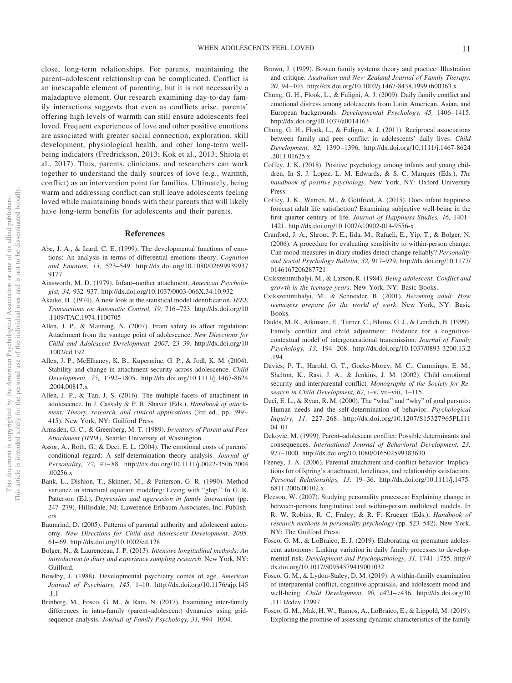close, long-term relationships. For parents, maintaining the parent–adolescent relationship can be complicated. Conflict is an inescapable element of parenting, but it is not necessarily a maladaptive element. Our research examining day-to-day family interactions suggests that even as conflicts arise, parents' offering high levels of warmth can still ensure adolescents feel loved. Frequent experiences of love and other positive emotions are associated with greater social connection, exploration, skill development, physiological health, and other long-term wellbeing indicators (Fredrickson, 2013; Kok et al., 2013; Shiota et al., 2017). Thus, parents, clinicians, and researchers can work together to understand the daily sources of love (e.g., warmth, conflict) as an intervention point for families. Ultimately, being warm and addressing conflict can still leave adolescents feeling loved while maintaining bonds with their parents that will likely have long-term benefits for adolescents and their parents.

#### **References**

- Abe, J. A., & Izard, C. E. (1999). The developmental functions of emotions: An analysis in terms of differential emotions theory. *Cognition and Emotion, 13,* 523–549. [http://dx.doi.org/10.1080/02699939937](http://dx.doi.org/10.1080/026999399379177) [9177](http://dx.doi.org/10.1080/026999399379177)
- Ainsworth, M. D. (1979). Infant–mother attachment. *American Psychologist, 34,* 932–937.<http://dx.doi.org/10.1037/0003-066X.34.10.932>
- Akaike, H. (1974). A new look at the statistical model identification. *IEEE Transactions on Automatic Control, 19,* 716 –723. [http://dx.doi.org/10](http://dx.doi.org/10.1109/TAC.1974.1100705) [.1109/TAC.1974.1100705](http://dx.doi.org/10.1109/TAC.1974.1100705)
- Allen, J. P., & Manning, N. (2007). From safety to affect regulation: Attachment from the vantage point of adolescence. *New Directions for Child and Adolescent Development, 2007,* 23–39. [http://dx.doi.org/10](http://dx.doi.org/10.1002/cd.192) [.1002/cd.192](http://dx.doi.org/10.1002/cd.192)
- Allen, J. P., McElhaney, K. B., Kuperminc, G. P., & Jodl, K. M. (2004). Stability and change in attachment security across adolescence. *Child Development, 75,* 1792–1805. [http://dx.doi.org/10.1111/j.1467-8624](http://dx.doi.org/10.1111/j.1467-8624.2004.00817.x) [.2004.00817.x](http://dx.doi.org/10.1111/j.1467-8624.2004.00817.x)
- Allen, J. P., & Tan, J. S. (2016). The multiple facets of attachment in adolescence. In J. Cassidy & P. R. Shaver (Eds.), *Handbook of attachment: Theory, research, and clinical applications* (3rd ed., pp. 399 – 415). New York, NY: Guilford Press.
- Armsden, G. C., & Greenberg, M. T. (1989). *Inventory of Parent and Peer Attachment (IPPA)*. Seattle: University of Washington.
- Assor, A., Roth, G., & Deci, E. L. (2004). The emotional costs of parents' conditional regard: A self-determination theory analysis. *Journal of Personality, 72,* 47– 88. [http://dx.doi.org/10.1111/j.0022-3506.2004](http://dx.doi.org/10.1111/j.0022-3506.2004.00256.x) [.00256.x](http://dx.doi.org/10.1111/j.0022-3506.2004.00256.x)
- Bank, L., Dishion, T., Skinner, M., & Patterson, G. R. (1990). Method variance in structural equation modeling: Living with "glop." In G. R. Patterson (Ed.), *Depression and aggression in family interaction* (pp. 247–279). Hillisdale, NJ: Lawerence Erlbaum Associates, Inc. Publishers.
- Baumrind, D. (2005). Patterns of parental authority and adolescent autonomy. *New Directions for Child and Adolescent Development, 2005,* 61– 69.<http://dx.doi.org/10.1002/cd.128>
- Bolger, N., & Laurenceau, J. P. (2013). *Intensive longitudinal methods: An introduction to diary and experience sampling research*. New York, NY: Guilford.
- Bowlby, J. (1988). Developmental psychiatry comes of age. *American Journal of Psychiatry, 145,* 1–10. [http://dx.doi.org/10.1176/ajp.145](http://dx.doi.org/10.1176/ajp.145.1.1) [.1.1](http://dx.doi.org/10.1176/ajp.145.1.1)
- Brinberg, M., Fosco, G. M., & Ram, N. (2017). Examining inter-family differences in intra-family (parent–adolescent) dynamics using gridsequence analysis. *Journal of Family Psychology, 31,* 994 –1004.
- Brown, J. (1999). Bowen family systems theory and practice: Illustration and critique. *Australian and New Zealand Journal of Family Therapy, 20,* 94 –103.<http://dx.doi.org/10.1002/j.1467-8438.1999.tb00363.x>
- Chung, G. H., Flook, L., & Fuligni, A. J. (2009). Daily family conflict and emotional distress among adolescents from Latin American, Asian, and European backgrounds. *Developmental Psychology, 45,* 1406 –1415. <http://dx.doi.org/10.1037/a0014163>
- Chung, G. H., Flook, L., & Fuligni, A. J. (2011). Reciprocal associations between family and peer conflict in adolescents' daily lives. *Child Development, 82,* 1390 –1396. [http://dx.doi.org/10.1111/j.1467-8624](http://dx.doi.org/10.1111/j.1467-8624.2011.01625.x) [.2011.01625.x](http://dx.doi.org/10.1111/j.1467-8624.2011.01625.x)
- Coffey, J. K. (2018). Positive psychology among infants and young children. In S. J. Lopez, L. M. Edwards, & S. C. Marques (Eds.), *The handbook of positive psychology*. New York, NY: Oxford University Press.
- Coffey, J. K., Warren, M., & Gottfried, A. (2015). Does infant happiness forecast adult life satisfaction? Examining subjective well-being in the first quarter century of life. *Journal of Happiness Studies, 16,* 1401– 1421.<http://dx.doi.org/10.1007/s10902-014-9556-x>
- Cranford, J. A., Shrout, P. E., Iida, M., Rafaeli, E., Yip, T., & Bolger, N. (2006). A procedure for evaluating sensitivity to within-person change: Can mood measures in diary studies detect change reliably? *Personality and Social Psychology Bulletin, 32,* 917–929. [http://dx.doi.org/10.1177/](http://dx.doi.org/10.1177/0146167206287721) [0146167206287721](http://dx.doi.org/10.1177/0146167206287721)
- Csikszentmihalyi, M., & Larson, R. (1984). *Being adolescent: Conflict and growth in the teenage years*. New York, NY: Basic Books.
- Csikszentmihalyi, M., & Schneider, B. (2001). *Becoming adult: How teenagers prepare for the world of work*. New York, NY: Basic Books.
- Dadds, M. R., Atkinson, E., Turner, C., Blums, G. J., & Lendich, B. (1999). Family conflict and child adjustment: Evidence for a cognitivecontextual model of intergenerational transmission. *Journal of Family Psychology, 13,* 194 –208. [http://dx.doi.org/10.1037/0893-3200.13.2](http://dx.doi.org/10.1037/0893-3200.13.2.194) [.194](http://dx.doi.org/10.1037/0893-3200.13.2.194)
- Davies, P. T., Harold, G. T., Goeke-Morey, M. C., Cummings, E. M., Shelton, K., Rasi, J. A., & Jenkins, J. M. (2002). Child emotional security and interparental conflict. *Monographs of the Society for Research in Child Development, 67,* i–v, vii–viii, 1–115.
- Deci, E. L., & Ryan, R. M. (2000). The "what" and "why" of goal pursuits: Human needs and the self-determination of behavior. *Psychological Inquiry, 11,* 227–268. [http://dx.doi.org/10.1207/S15327965PLI11](http://dx.doi.org/10.1207/S15327965PLI1104_01) [04\\_01](http://dx.doi.org/10.1207/S15327965PLI1104_01)
- Deković, M. (1999). Parent–adolescent conflict: Possible determinants and consequences. *International Journal of Behavioral Development, 23,* 977–1000.<http://dx.doi.org/10.1080/016502599383630>
- Feeney, J. A. (2006). Parental attachment and conflict behavior: Implications for offspring's attachment, loneliness, and relationship satisfaction. *Personal Relationships, 13,* 19 –36. [http://dx.doi.org/10.1111/j.1475-](http://dx.doi.org/10.1111/j.1475-6811.2006.00102.x) [6811.2006.00102.x](http://dx.doi.org/10.1111/j.1475-6811.2006.00102.x)
- Fleeson, W. (2007). Studying personality processes: Explaining change in between-persons longitudinal and within-person multilevel models. In R. W. Robins, R. C. Fraley, & R. F. Krueger (Eds.), *Handbook of research methods in personality psychology* (pp. 523–542). New York, NY: The Guilford Press.
- Fosco, G. M., & LoBraico, E. J. (2019). Elaborating on premature adolescent autonomy: Linking variation in daily family processes to developmental risk. *Development and Psychopathology, 31,* 1741–1755. [http://](http://dx.doi.org/10.1017/S0954579419001032) [dx.doi.org/10.1017/S0954579419001032](http://dx.doi.org/10.1017/S0954579419001032)
- Fosco, G. M., & Lydon-Staley, D. M. (2019). A within-family examination of interparental conflict, cognitive appraisals, and adolescent mood and well-being. *Child Development, 90,* e421– e436. [http://dx.doi.org/10](http://dx.doi.org/10.1111/cdev.12997) [.1111/cdev.12997](http://dx.doi.org/10.1111/cdev.12997)
- Fosco, G. M., Mak, H. W., Ramos, A., LoBraico, E., & Lippold, M. (2019). Exploring the promise of assessing dynamic characteristics of the family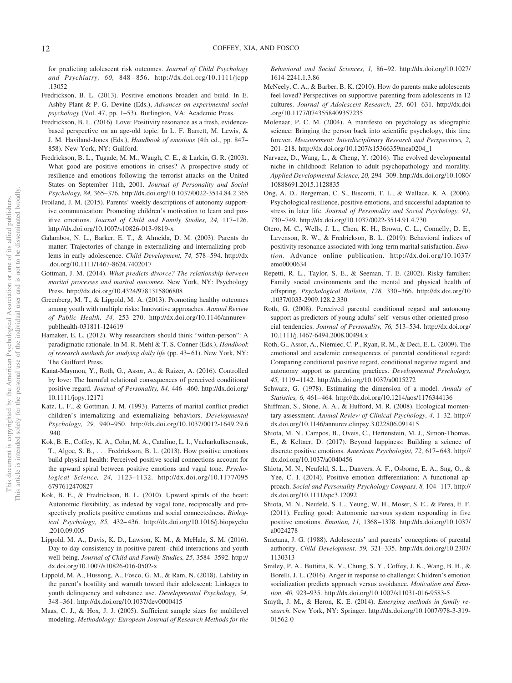for predicting adolescent risk outcomes. *Journal of Child Psychology and Psychiatry, 60,* 848 – 856. [http://dx.doi.org/10.1111/jcpp](http://dx.doi.org/10.1111/jcpp.13052) [.13052](http://dx.doi.org/10.1111/jcpp.13052)

- Fredrickson, B. L. (2013). Positive emotions broaden and build. In E. Ashby Plant & P. G. Devine (Eds.), *Advances on experimental social psychology* (Vol. 47, pp. 1–53). Burlington, VA: Academic Press.
- Fredrickson, B. L. (2016). Love: Positivity resonance as a fresh, evidencebased perspective on an age-old topic. In L. F. Barrett, M. Lewis, & J. M. Haviland-Jones (Eds.), *Handbook of emotions* (4th ed., pp. 847– 858). New York, NY: Guilford.
- Fredrickson, B. L., Tugade, M. M., Waugh, C. E., & Larkin, G. R. (2003). What good are positive emotions in crises? A prospective study of resilience and emotions following the terrorist attacks on the United States on September 11th, 2001. *Journal of Personality and Social Psychology, 84,* 365–376.<http://dx.doi.org/10.1037/0022-3514.84.2.365>
- Froiland, J. M. (2015). Parents' weekly descriptions of autonomy supportive communication: Promoting children's motivation to learn and positive emotions. *Journal of Child and Family Studies, 24,* 117–126. <http://dx.doi.org/10.1007/s10826-013-9819-x>
- Galambos, N. L., Barker, E. T., & Almeida, D. M. (2003). Parents do matter: Trajectories of change in externalizing and internalizing problems in early adolescence. *Child Development, 74,* 578 –594. [http://dx](http://dx.doi.org/10.1111/1467-8624.7402017) [.doi.org/10.1111/1467-8624.7402017](http://dx.doi.org/10.1111/1467-8624.7402017)
- Gottman, J. M. (2014). *What predicts divorce? The relationship between marital processes and marital outcomes*. New York, NY: Psychology Press.<http://dx.doi.org/10.4324/9781315806808>
- Greenberg, M. T., & Lippold, M. A. (2013). Promoting healthy outcomes among youth with multiple risks: Innovative approaches. *Annual Review of Public Health, 34,* 253–270. [http://dx.doi.org/10.1146/annurev](http://dx.doi.org/10.1146/annurev-publhealth-031811-124619)[publhealth-031811-124619](http://dx.doi.org/10.1146/annurev-publhealth-031811-124619)
- Hamaker, E. L. (2012). Why researchers should think "within-person": A paradigmatic rationale. In M. R. Mehl & T. S. Conner (Eds.), *Handbook of research methods for studying daily life* (pp. 43– 61). New York, NY: The Guilford Press.
- Kanat-Maymon, Y., Roth, G., Assor, A., & Raizer, A. (2016). Controlled by love: The harmful relational consequences of perceived conditional positive regard. *Journal of Personality, 84,* 446 – 460. [http://dx.doi.org/](http://dx.doi.org/10.1111/jopy.12171) [10.1111/jopy.12171](http://dx.doi.org/10.1111/jopy.12171)
- Katz, L. F., & Gottman, J. M. (1993). Patterns of marital conflict predict children's internalizing and externalizing behaviors. *Developmental Psychology, 29,* 940 –950. [http://dx.doi.org/10.1037/0012-1649.29.6](http://dx.doi.org/10.1037/0012-1649.29.6.940) [.940](http://dx.doi.org/10.1037/0012-1649.29.6.940)
- Kok, B. E., Coffey, K. A., Cohn, M. A., Catalino, L. I., Vacharkulksemsuk, T., Algoe, S. B.,... Fredrickson, B. L. (2013). How positive emotions build physical health: Perceived positive social connections account for the upward spiral between positive emotions and vagal tone. *Psychological Science, 24,* 1123–1132. [http://dx.doi.org/10.1177/095](http://dx.doi.org/10.1177/0956797612470827) [6797612470827](http://dx.doi.org/10.1177/0956797612470827)
- Kok, B. E., & Fredrickson, B. L. (2010). Upward spirals of the heart: Autonomic flexibility, as indexed by vagal tone, reciprocally and prospectively predicts positive emotions and social connectedness. *Biological Psychology, 85,* 432– 436. [http://dx.doi.org/10.1016/j.biopsycho](http://dx.doi.org/10.1016/j.biopsycho.2010.09.005) [.2010.09.005](http://dx.doi.org/10.1016/j.biopsycho.2010.09.005)
- Lippold, M. A., Davis, K. D., Lawson, K. M., & McHale, S. M. (2016). Day-to-day consistency in positive parent– child interactions and youth well-being. *Journal of Child and Family Studies, 25,* 3584 –3592. [http://](http://dx.doi.org/10.1007/s10826-016-0502-x) [dx.doi.org/10.1007/s10826-016-0502-x](http://dx.doi.org/10.1007/s10826-016-0502-x)
- Lippold, M. A., Hussong, A., Fosco, G. M., & Ram, N. (2018). Lability in the parent's hostility and warmth toward their adolescent: Linkages to youth delinquency and substance use. *Developmental Psychology, 54,* 348 –361.<http://dx.doi.org/10.1037/dev0000415>
- Maas, C. J., & Hox, J. J. (2005). Sufficient sample sizes for multilevel modeling. *Methodology: European Journal of Research Methods for the*

*Behavioral and Social Sciences, 1,* 86 –92. [http://dx.doi.org/10.1027/](http://dx.doi.org/10.1027/1614-2241.1.3.86) [1614-2241.1.3.86](http://dx.doi.org/10.1027/1614-2241.1.3.86)

- McNeely, C. A., & Barber, B. K. (2010). How do parents make adolescents feel loved? Perspectives on supportive parenting from adolescents in 12 cultures. *Journal of Adolescent Research*, 25, 601-631. [http://dx.doi](http://dx.doi.org/10.1177/0743558409357235) [.org/10.1177/0743558409357235](http://dx.doi.org/10.1177/0743558409357235)
- Molenaar, P. C. M. (2004). A manifesto on psychology as idiographic science: Bringing the person back into scientific psychology, this time forever. *Measurement: Interdisciplinary Research and Perspectives, 2,* 201–218. [http://dx.doi.org/10.1207/s15366359mea0204\\_1](http://dx.doi.org/10.1207/s15366359mea0204_1)
- Narvaez, D., Wang, L., & Cheng, Y. (2016). The evolved developmental niche in childhood: Relation to adult psychopathology and morality. *Applied Developmental Science, 20,* 294 –309. [http://dx.doi.org/10.1080/](http://dx.doi.org/10.1080/10888691.2015.1128835) [10888691.2015.1128835](http://dx.doi.org/10.1080/10888691.2015.1128835)
- Ong, A. D., Bergeman, C. S., Bisconti, T. L., & Wallace, K. A. (2006). Psychological resilience, positive emotions, and successful adaptation to stress in later life. *Journal of Personality and Social Psychology, 91,* 730 –749.<http://dx.doi.org/10.1037/0022-3514.91.4.730>
- Otero, M. C., Wells, J. L., Chen, K. H., Brown, C. L., Connelly, D. E., Levenson, R. W., & Fredrickson, B. L. (2019). Behavioral indices of positivity resonance associated with long-term marital satisfaction. *Emotion*. Advance online publication. [http://dx.doi.org/10.1037/](http://dx.doi.org/10.1037/emo0000634) [emo0000634](http://dx.doi.org/10.1037/emo0000634)
- Repetti, R. L., Taylor, S. E., & Seeman, T. E. (2002). Risky families: Family social environments and the mental and physical health of offspring. *Psychological Bulletin, 128,* 330 –366. [http://dx.doi.org/10](http://dx.doi.org/10.1037/0033-2909.128.2.330) [.1037/0033-2909.128.2.330](http://dx.doi.org/10.1037/0033-2909.128.2.330)
- Roth, G. (2008). Perceived parental conditional regard and autonomy support as predictors of young adults' self- versus other-oriented prosocial tendencies. *Journal of Personality, 76,* 513–534. [http://dx.doi.org/](http://dx.doi.org/10.1111/j.1467-6494.2008.00494.x) [10.1111/j.1467-6494.2008.00494.x](http://dx.doi.org/10.1111/j.1467-6494.2008.00494.x)
- Roth, G., Assor, A., Niemiec, C. P., Ryan, R. M., & Deci, E. L. (2009). The emotional and academic consequences of parental conditional regard: Comparing conditional positive regard, conditional negative regard, and autonomy support as parenting practices. *Developmental Psychology, 45,* 1119 –1142.<http://dx.doi.org/10.1037/a0015272>
- Schwarz, G. (1978). Estimating the dimension of a model. *Annals of Statistics, 6,* 461– 464.<http://dx.doi.org/10.1214/aos/1176344136>
- Shiffman, S., Stone, A. A., & Hufford, M. R. (2008). Ecological momentary assessment. *Annual Review of Clinical Psychology, 4,* 1–32. [http://](http://dx.doi.org/10.1146/annurev.clinpsy.3.022806.091415) [dx.doi.org/10.1146/annurev.clinpsy.3.022806.091415](http://dx.doi.org/10.1146/annurev.clinpsy.3.022806.091415)
- Shiota, M. N., Campos, B., Oveis, C., Hertenstein, M. J., Simon-Thomas, E., & Keltner, D. (2017). Beyond happiness: Building a science of discrete positive emotions. *American Psychologist, 72,* 617– 643. [http://](http://dx.doi.org/10.1037/a0040456) [dx.doi.org/10.1037/a0040456](http://dx.doi.org/10.1037/a0040456)
- Shiota, M. N., Neufeld, S. L., Danvers, A. F., Osborne, E. A., Sng, O., & Yee, C. I. (2014). Positive emotion differentiation: A functional approach. *Social and Personality Psychology Compass, 8,* 104 –117. [http://](http://dx.doi.org/10.1111/spc3.12092) [dx.doi.org/10.1111/spc3.12092](http://dx.doi.org/10.1111/spc3.12092)
- Shiota, M. N., Neufeld, S. L., Yeung, W. H., Moser, S. E., & Perea, E. F. (2011). Feeling good: Autonomic nervous system responding in five positive emotions. *Emotion, 11,* 1368 –1378. [http://dx.doi.org/10.1037/](http://dx.doi.org/10.1037/a0024278) [a0024278](http://dx.doi.org/10.1037/a0024278)
- Smetana, J. G. (1988). Adolescents' and parents' conceptions of parental authority. *Child Development, 59,* 321–335. [http://dx.doi.org/10.2307/](http://dx.doi.org/10.2307/1130313) [1130313](http://dx.doi.org/10.2307/1130313)
- Smiley, P. A., Buttitta, K. V., Chung, S. Y., Coffey, J. K., Wang, B. H., & Borelli, J. L. (2016). Anger in response to challenge: Children's emotion socialization predicts approach versus avoidance. *Motivation and Emotion, 40,* 923–935.<http://dx.doi.org/10.1007/s11031-016-9583-5>
- Smyth, J. M., & Heron, K. E. (2014). *Emerging methods in family research*. New York, NY: Springer. [http://dx.doi.org/10.1007/978-3-319-](http://dx.doi.org/10.1007/978-3-319-01562-0) [01562-0](http://dx.doi.org/10.1007/978-3-319-01562-0)